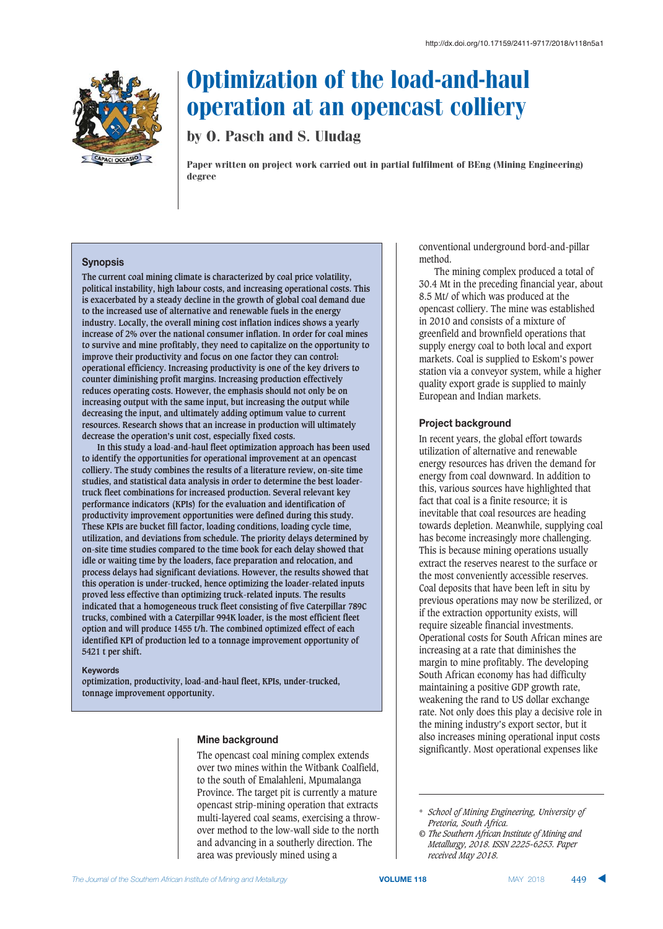

# by O. Pasch and S. Uludag

Paper written on project work carried out in partial fulfilment of BEng (Mining Engineering) degree

# **Synopsis**

**The current coal mining climate is characterized by coal price volatility, political instability, high labour costs, and increasing operational costs. This is exacerbated by a steady decline in the growth of global coal demand due to the increased use of alternative and renewable fuels in the energy industry. Locally, the overall mining cost inflation indices shows a yearly increase of 2% over the national consumer inflation. In order for coal mines to survive and mine profitably, they need to capitalize on the opportunity to improve their productivity and focus on one factor they can control: operational efficiency. Increasing productivity is one of the key drivers to counter diminishing profit margins. Increasing production effectively reduces operating costs. However, the emphasis should not only be on increasing output with the same input, but increasing the output while decreasing the input, and ultimately adding optimum value to current resources. Research shows that an increase in production will ultimately decrease the operation's unit cost, especially fixed costs.** 

**In this study a load-and-haul fleet optimization approach has been used to identify the opportunities for operational improvement at an opencast colliery. The study combines the results of a literature review, on-site time studies, and statistical data analysis in order to determine the best loadertruck fleet combinations for increased production. Several relevant key performance indicators (KPIs) for the evaluation and identification of productivity improvement opportunities were defined during this study. These KPIs are bucket fill factor, loading conditions, loading cycle time, utilization, and deviations from schedule. The priority delays determined by on-site time studies compared to the time book for each delay showed that idle or waiting time by the loaders, face preparation and relocation, and process delays had significant deviations. However, the results showed that this operation is under-trucked, hence optimizing the loader-related inputs proved less effective than optimizing truck-related inputs. The results indicated that a homogeneous truck fleet consisting of five Caterpillar 789C trucks, combined with a Caterpillar 994K loader, is the most efficient fleet option and will produce 1455 t/h. The combined optimized effect of each identified KPI of production led to a tonnage improvement opportunity of 5421 t per shift.**

#### $Keywords$

**optimization, productivity, load-and-haul fleet, KPIs, under-trucked, tonnage improvement opportunity.**

### **Mine background**

The opencast coal mining complex extends over two mines within the Witbank Coalfield, to the south of Emalahleni, Mpumalanga Province. The target pit is currently a mature opencast strip-mining operation that extracts multi-layered coal seams, exercising a throwover method to the low-wall side to the north and advancing in a southerly direction. The area was previously mined using a

conventional underground bord-and-pillar method.

The mining complex produced a total of 30.4 Mt in the preceding financial year, about 8.5 Mt/ of which was produced at the opencast colliery. The mine was established in 2010 and consists of a mixture of greenfield and brownfield operations that supply energy coal to both local and export markets. Coal is supplied to Eskom's power station via a conveyor system, while a higher quality export grade is supplied to mainly European and Indian markets.

### **Project background**

In recent years, the global effort towards utilization of alternative and renewable energy resources has driven the demand for energy from coal downward. In addition to this, various sources have highlighted that fact that coal is a finite resource; it is inevitable that coal resources are heading towards depletion. Meanwhile, supplying coal has become increasingly more challenging. This is because mining operations usually extract the reserves nearest to the surface or the most conveniently accessible reserves. Coal deposits that have been left in situ by previous operations may now be sterilized, or if the extraction opportunity exists, will require sizeable financial investments. Operational costs for South African mines are increasing at a rate that diminishes the margin to mine profitably. The developing South African economy has had difficulty maintaining a positive GDP growth rate, weakening the rand to US dollar exchange rate. Not only does this play a decisive role in the mining industry's export sector, but it also increases mining operational input costs significantly. Most operational expenses like

<sup>\*</sup> *School of Mining Engineering, University of Pretoria, South Africa.*

*<sup>©</sup> The Southern African Institute of Mining and Metallurgy, 2018. ISSN 2225-6253. Paper received May 2018.*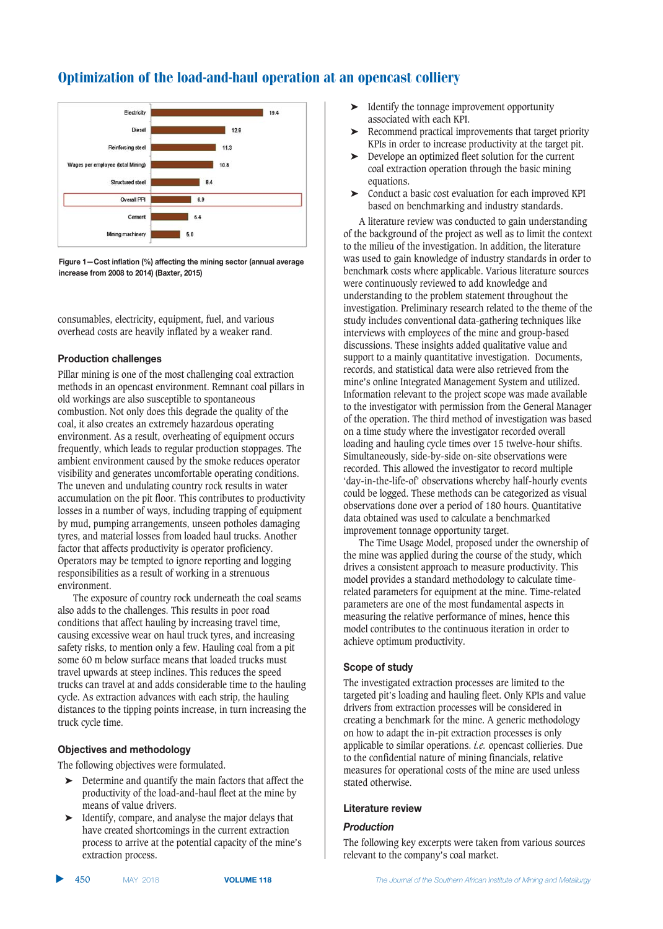

**Figure 1-Cost inflation (%) affecting the mining sector (annual average**  $i$  **hcrease from 2008 to 2014) (Baxter, 2015)** 

consumables, electricity, equipment, fuel, and various overhead costs are heavily inflated by a weaker rand.

# **Production challenges**

Pillar mining is one of the most challenging coal extraction methods in an opencast environment. Remnant coal pillars in old workings are also susceptible to spontaneous combustion. Not only does this degrade the quality of the coal, it also creates an extremely hazardous operating environment. As a result, overheating of equipment occurs frequently, which leads to regular production stoppages. The ambient environment caused by the smoke reduces operator visibility and generates uncomfortable operating conditions. The uneven and undulating country rock results in water accumulation on the pit floor. This contributes to productivity losses in a number of ways, including trapping of equipment by mud, pumping arrangements, unseen potholes damaging tyres, and material losses from loaded haul trucks. Another factor that affects productivity is operator proficiency. Operators may be tempted to ignore reporting and logging responsibilities as a result of working in a strenuous environment.

The exposure of country rock underneath the coal seams also adds to the challenges. This results in poor road conditions that affect hauling by increasing travel time, causing excessive wear on haul truck tyres, and increasing safety risks, to mention only a few. Hauling coal from a pit some 60 m below surface means that loaded trucks must travel upwards at steep inclines. This reduces the speed trucks can travel at and adds considerable time to the hauling cycle. As extraction advances with each strip, the hauling distances to the tipping points increase, in turn increasing the truck cycle time.

# **Obiectives and methodology**

The following objectives were formulated.

- ➤ Determine and quantify the main factors that affect the productivity of the load-and-haul fleet at the mine by means of value drivers.
- ➤ Identify, compare, and analyse the major delays that have created shortcomings in the current extraction process to arrive at the potential capacity of the mine's extraction process.
- ➤ Identify the tonnage improvement opportunity associated with each KPI.
- ➤ Recommend practical improvements that target priority KPIs in order to increase productivity at the target pit.
- ➤ Develope an optimized fleet solution for the current coal extraction operation through the basic mining equations.
- ➤ Conduct a basic cost evaluation for each improved KPI based on benchmarking and industry standards.

A literature review was conducted to gain understanding of the background of the project as well as to limit the context to the milieu of the investigation. In addition, the literature was used to gain knowledge of industry standards in order to benchmark costs where applicable. Various literature sources were continuously reviewed to add knowledge and understanding to the problem statement throughout the investigation. Preliminary research related to the theme of the study includes conventional data-gathering techniques like interviews with employees of the mine and group-based discussions. These insights added qualitative value and support to a mainly quantitative investigation. Documents, records, and statistical data were also retrieved from the mine's online Integrated Management System and utilized. Information relevant to the project scope was made available to the investigator with permission from the General Manager of the operation. The third method of investigation was based on a time study where the investigator recorded overall loading and hauling cycle times over 15 twelve-hour shifts. Simultaneously, side-by-side on-site observations were recorded. This allowed the investigator to record multiple 'day-in-the-life-of' observations whereby half-hourly events could be logged. These methods can be categorized as visual observations done over a period of 180 hours. Quantitative data obtained was used to calculate a benchmarked improvement tonnage opportunity target.

The Time Usage Model, proposed under the ownership of the mine was applied during the course of the study, which drives a consistent approach to measure productivity. This model provides a standard methodology to calculate timerelated parameters for equipment at the mine. Time-related parameters are one of the most fundamental aspects in measuring the relative performance of mines, hence this model contributes to the continuous iteration in order to achieve optimum productivity.

## **Scope of study**

The investigated extraction processes are limited to the targeted pit's loading and hauling fleet. Only KPIs and value drivers from extraction processes will be considered in creating a benchmark for the mine. A generic methodology on how to adapt the in-pit extraction processes is only applicable to similar operations. *i.e.* opencast collieries. Due to the confidential nature of mining financials, relative measures for operational costs of the mine are used unless stated otherwise.

## **Literature review**

# **Production**

The following key excerpts were taken from various sources relevant to the company's coal market.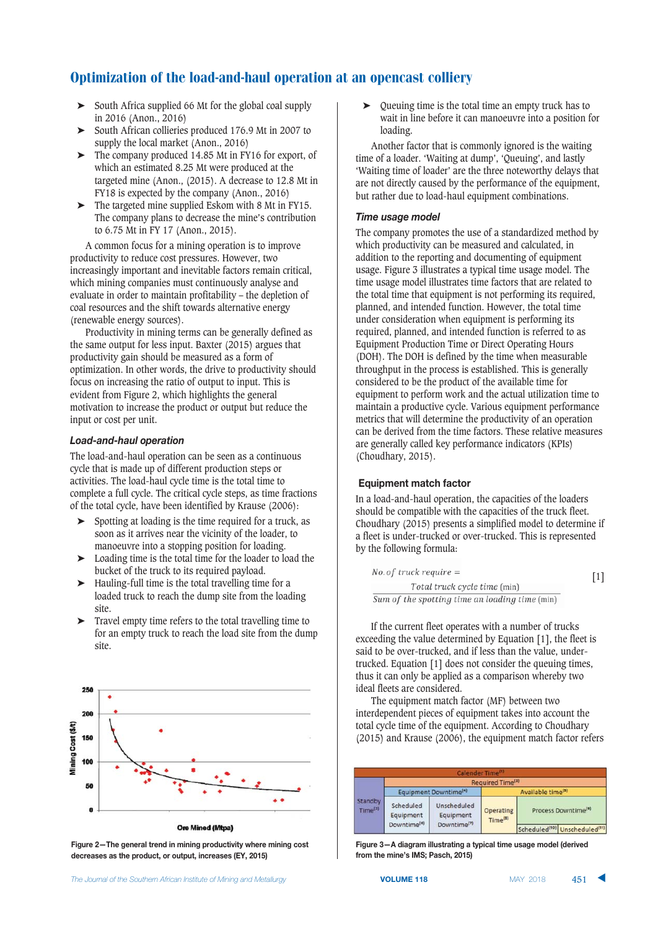- ➤ South Africa supplied 66 Mt for the global coal supply in 2016 (Anon., 2016)
- ➤ South African collieries produced 176.9 Mt in 2007 to supply the local market (Anon., 2016)
- The company produced 14.85 Mt in FY16 for export, of which an estimated 8.25 Mt were produced at the targeted mine (Anon., (2015). A decrease to 12.8 Mt in FY18 is expected by the company (Anon., 2016)
- ➤ The targeted mine supplied Eskom with 8 Mt in FY15. The company plans to decrease the mine's contribution to 6.75 Mt in FY 17 (Anon., 2015).

A common focus for a mining operation is to improve productivity to reduce cost pressures. However, two increasingly important and inevitable factors remain critical, which mining companies must continuously analyse and evaluate in order to maintain profitability – the depletion of coal resources and the shift towards alternative energy (renewable energy sources).

Productivity in mining terms can be generally defined as the same output for less input. Baxter (2015) argues that productivity gain should be measured as a form of optimization. In other words, the drive to productivity should focus on increasing the ratio of output to input. This is evident from Figure 2, which highlights the general motivation to increase the product or output but reduce the input or cost per unit.

### Load-and-haul operation

The load-and-haul operation can be seen as a continuous cycle that is made up of different production steps or activities. The load-haul cycle time is the total time to complete a full cycle. The critical cycle steps, as time fractions of the total cycle, have been identified by Krause (2006):

- ➤ Spotting at loading is the time required for a truck, as soon as it arrives near the vicinity of the loader, to manoeuvre into a stopping position for loading.
- ➤ Loading time is the total time for the loader to load the bucket of the truck to its required payload.
- ➤ Hauling-full time is the total travelling time for a loaded truck to reach the dump site from the loading site.
- ➤ Travel empty time refers to the total travelling time to for an empty truck to reach the load site from the dump site.



Figure 2-The general trend in mining productivity where mining cost **fdecreases as the product, or output, increases (EY, 2015)** 

 $\triangleright$  Queuing time is the total time an empty truck has to wait in line before it can manoeuvre into a position for loading.

Another factor that is commonly ignored is the waiting time of a loader. 'Waiting at dump', 'Queuing', and lastly 'Waiting time of loader' are the three noteworthy delays that are not directly caused by the performance of the equipment, but rather due to load-haul equipment combinations.

## **Time usage model**

The company promotes the use of a standardized method by which productivity can be measured and calculated, in addition to the reporting and documenting of equipment usage. Figure 3 illustrates a typical time usage model. The time usage model illustrates time factors that are related to the total time that equipment is not performing its required, planned, and intended function. However, the total time under consideration when equipment is performing its required, planned, and intended function is referred to as Equipment Production Time or Direct Operating Hours (DOH). The DOH is defined by the time when measurable throughput in the process is established. This is generally considered to be the product of the available time for equipment to perform work and the actual utilization time to maintain a productive cycle. Various equipment performance metrics that will determine the productivity of an operation can be derived from the time factors. These relative measures are generally called key performance indicators (KPIs) (Choudhary, 2015).

## **Equipment match factor**

In a load-and-haul operation, the capacities of the loaders should be compatible with the capacities of the truck fleet. Choudhary (2015) presents a simplified model to determine if a fleet is under-trucked or over-trucked. This is represented by the following formula:

[1] 

If the current fleet operates with a number of trucks exceeding the value determined by Equation [1], the fleet is said to be over-trucked, and if less than the value, undertrucked. Equation [1] does not consider the queuing times, thus it can only be applied as a comparison whereby two ideal fleets are considered.

The equipment match factor (MF) between two interdependent pieces of equipment takes into account the total cycle time of the equipment. According to Choudhary (2015) and Krause (2006), the equipment match factor refers

|                                |                                                                                                          |  | Calender Time <sup>(1)</sup>                          |                                 |  |
|--------------------------------|----------------------------------------------------------------------------------------------------------|--|-------------------------------------------------------|---------------------------------|--|
| Standby<br>Time <sup>[2]</sup> | Required Time <sup>(3)</sup>                                                                             |  |                                                       |                                 |  |
|                                | Equipment Downtime <sup>(4)</sup>                                                                        |  | Available time <sup>(5)</sup>                         |                                 |  |
|                                | Unscheduled<br>Scheduled<br>Equipment<br>Equipment<br>Downtime <sup>[7]</sup><br>Downtime <sup>(6)</sup> |  | Operating<br>Time <sup>(8)</sup>                      | Process Downtime <sup>(9)</sup> |  |
|                                |                                                                                                          |  | Scheduled <sup>(10)</sup> Unscheduled <sup>(11)</sup> |                                 |  |

**Figure 3-A diagram illustrating a typical time usage model (derived** from the mine's IMS: Pasch, 2015)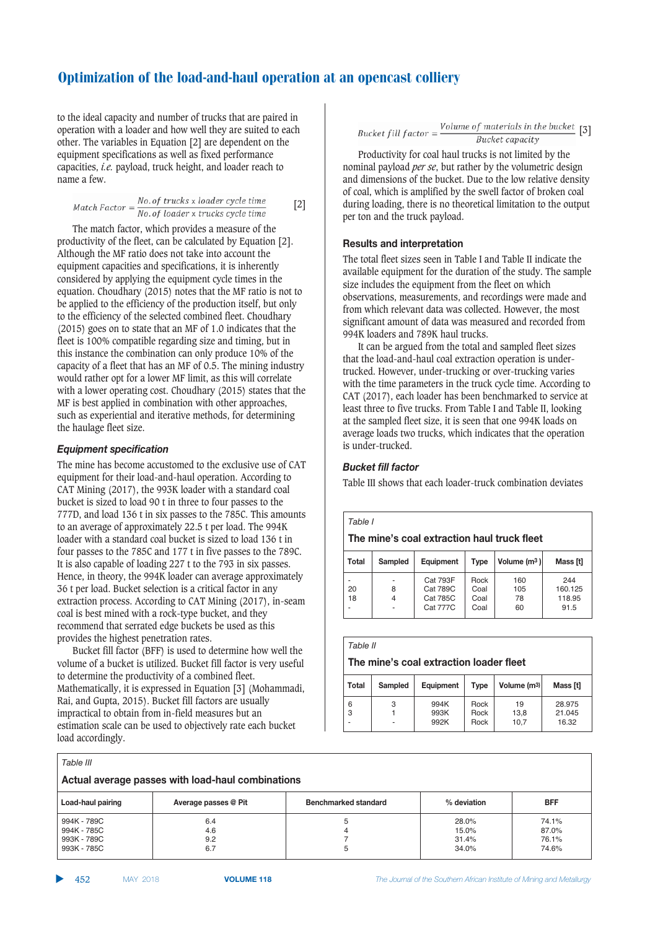to the ideal capacity and number of trucks that are paired in operation with a loader and how well they are suited to each other. The variables in Equation [2] are dependent on the equipment specifications as well as fixed performance capacities, *i.e.* payload, truck height, and loader reach to name a few.

$$
Match Factor = \frac{No. of trucks \times loader cycle time}{No. of loader \times trucks cycle time}
$$
 [2]

The match factor, which provides a measure of the productivity of the fleet, can be calculated by Equation [2]. Although the MF ratio does not take into account the equipment capacities and specifications, it is inherently considered by applying the equipment cycle times in the equation. Choudhary (2015) notes that the MF ratio is not to be applied to the efficiency of the production itself, but only to the efficiency of the selected combined fleet. Choudhary (2015) goes on to state that an MF of 1.0 indicates that the fleet is 100% compatible regarding size and timing, but in this instance the combination can only produce 10% of the capacity of a fleet that has an MF of 0.5. The mining industry would rather opt for a lower MF limit, as this will correlate with a lower operating cost. Choudhary (2015) states that the MF is best applied in combination with other approaches, such as experiential and iterative methods, for determining the haulage fleet size.

## **Equipment specification**

The mine has become accustomed to the exclusive use of CAT equipment for their load-and-haul operation. According to CAT Mining (2017), the 993K loader with a standard coal bucket is sized to load 90 t in three to four passes to the 777D, and load 136 t in six passes to the 785C. This amounts to an average of approximately 22.5 t per load. The 994K loader with a standard coal bucket is sized to load 136 t in four passes to the 785C and 177 t in five passes to the 789C. It is also capable of loading 227 t to the 793 in six passes. Hence, in theory, the 994K loader can average approximately 36 t per load. Bucket selection is a critical factor in any extraction process. According to CAT Mining (2017), in-seam coal is best mined with a rock-type bucket, and they recommend that serrated edge buckets be used as this provides the highest penetration rates.

Bucket fill factor (BFF) is used to determine how well the volume of a bucket is utilized. Bucket fill factor is very useful to determine the productivity of a combined fleet. Mathematically, it is expressed in Equation [3] (Mohammadi, Rai, and Gupta, 2015). Bucket fill factors are usually impractical to obtain from in-field measures but an estimation scale can be used to objectively rate each bucket load accordingly.

Bucket fill factor =  $\frac{Volume\ of\ materials\ in\ the\ bucket}{Bucket\ capacity}$  [3]

Productivity for coal haul trucks is not limited by the nominal payload *per se*, but rather by the volumetric design and dimensions of the bucket. Due to the low relative density of coal, which is amplified by the swell factor of broken coal during loading, there is no theoretical limitation to the output per ton and the truck payload.

## **Results and interpretation**

The total fleet sizes seen in Table I and Table II indicate the available equipment for the duration of the study. The sample size includes the equipment from the fleet on which observations, measurements, and recordings were made and from which relevant data was collected. However, the most significant amount of data was measured and recorded from 994K loaders and 789K haul trucks.

It can be argued from the total and sampled fleet sizes that the load-and-haul coal extraction operation is undertrucked. However, under-trucking or over-trucking varies with the time parameters in the truck cycle time. According to CAT (2017), each loader has been benchmarked to service at least three to five trucks. From Table I and Table II, looking at the sampled fleet size, it is seen that one 994K loads on average loads two trucks, which indicates that the operation is under-trucked.

# **Bucket fill factor**

Table III shows that each loader-truck combination deviates

| Table I                                     |         |                 |             |                |          |
|---------------------------------------------|---------|-----------------|-------------|----------------|----------|
| The mine's coal extraction haul truck fleet |         |                 |             |                |          |
| Total                                       | Sampled | Equipment       | <b>Type</b> | Volume $(m^3)$ | Mass [t] |
|                                             |         | Cat 793F        | Rock        | 160            | 244      |
| 20                                          | 8       | Cat 789C        | Coal        | 105            | 160.125  |
| 18                                          | 4       | Cat 785C        | Coal        | 78             | 118.95   |
|                                             |         | <b>Cat 777C</b> | Coal        | 60             | 91.5     |

*Table II*

## **The mine's coal extraction loader fleet**

| <b>Total</b> | Sampled | Equipment | <b>Type</b> | Volume (m <sup>3)</sup> | Mass [t] |
|--------------|---------|-----------|-------------|-------------------------|----------|
| 6            | 3       | 994K      | Rock        | 19                      | 28.975   |
| 3            |         | 993K      | Rock        | 13,8                    | 21.045   |
|              | ۰       | 992K      | Rock        | 10.7                    | 16.32    |

| Table III                                                |                          |                             |                                  |                                  |  |
|----------------------------------------------------------|--------------------------|-----------------------------|----------------------------------|----------------------------------|--|
| Actual average passes with load-haul combinations        |                          |                             |                                  |                                  |  |
| Load-haul pairing                                        | Average passes @ Pit     | <b>Benchmarked standard</b> | % deviation                      | <b>BFF</b>                       |  |
| 994K - 789C<br>994K - 785C<br>993K - 789C<br>993K - 785C | 6.4<br>4.6<br>9.2<br>6.7 | 5<br>4<br>5                 | 28.0%<br>15.0%<br>31.4%<br>34.0% | 74.1%<br>87.0%<br>76.1%<br>74.6% |  |

▲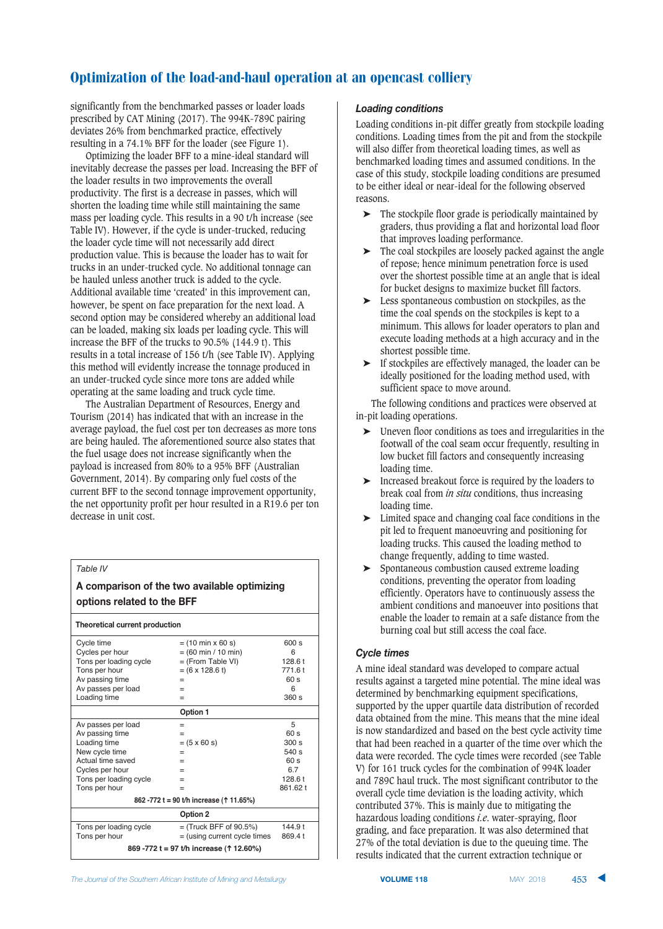significantly from the benchmarked passes or loader loads prescribed by CAT Mining (2017). The 994K-789C pairing deviates 26% from benchmarked practice, effectively resulting in a 74.1% BFF for the loader (see Figure 1).

Optimizing the loader BFF to a mine-ideal standard will inevitably decrease the passes per load. Increasing the BFF of the loader results in two improvements the overall productivity. The first is a decrease in passes, which will shorten the loading time while still maintaining the same mass per loading cycle. This results in a 90 t/h increase (see Table IV). However, if the cycle is under-trucked, reducing the loader cycle time will not necessarily add direct production value. This is because the loader has to wait for trucks in an under-trucked cycle. No additional tonnage can be hauled unless another truck is added to the cycle. Additional available time 'created' in this improvement can, however, be spent on face preparation for the next load. A second option may be considered whereby an additional load can be loaded, making six loads per loading cycle. This will increase the BFF of the trucks to 90.5% (144.9 t). This results in a total increase of 156 t/h (see Table IV). Applying this method will evidently increase the tonnage produced in an under-trucked cycle since more tons are added while operating at the same loading and truck cycle time.

The Australian Department of Resources, Energy and Tourism (2014) has indicated that with an increase in the average payload, the fuel cost per ton decreases as more tons are being hauled. The aforementioned source also states that the fuel usage does not increase significantly when the payload is increased from 80% to a 95% BFF (Australian Government, 2014). By comparing only fuel costs of the current BFF to the second tonnage improvement opportunity, the net opportunity profit per hour resulted in a R19.6 per ton decrease in unit cost.

## *Table IV*

# A comparison of the two available optimizing options related to the BFF

| Theoretical current production          |                                          |                 |  |  |  |
|-----------------------------------------|------------------------------------------|-----------------|--|--|--|
| Cycle time                              | $= (10 \text{ min} \times 60 \text{ s})$ | 600 s           |  |  |  |
| Cycles per hour                         | $= (60 \text{ min} / 10 \text{ min})$    | 6               |  |  |  |
| Tons per loading cycle                  | $=$ (From Table VI)                      | 128.6 t         |  |  |  |
| Tons per hour                           | $= (6 \times 128.6 t)$                   | 771.6 t         |  |  |  |
| Av passing time                         | $=$                                      | 60 <sub>s</sub> |  |  |  |
| Av passes per load                      | $=$                                      | 6               |  |  |  |
| Loading time                            | $=$                                      | 360 s           |  |  |  |
| Option 1                                |                                          |                 |  |  |  |
| Av passes per load                      | $=$                                      | 5               |  |  |  |
| Av passing time                         |                                          | 60 <sub>s</sub> |  |  |  |
| Loading time                            | $= (5 \times 60 \text{ s})$              | 300 s           |  |  |  |
| New cycle time                          | $=$                                      | 540 s           |  |  |  |
| Actual time saved                       | $=$                                      | 60 s            |  |  |  |
| Cycles per hour                         |                                          | 6.7             |  |  |  |
| Tons per loading cycle                  |                                          | 128.6 t         |  |  |  |
| Tons per hour                           | $=$                                      | 861.62 t        |  |  |  |
| 862 -772 t = 90 t/h increase (1 11.65%) |                                          |                 |  |  |  |
|                                         | Option 2                                 |                 |  |  |  |
| Tons per loading cycle                  | $=$ (Truck BFF of 90.5%)                 | 144.9t          |  |  |  |
| Tons per hour                           | = (using current cycle times             | 869.4 t         |  |  |  |
| 869 -772 t = 97 t/h increase (1 12.60%) |                                          |                 |  |  |  |

#### *Loading conditions*

Loading conditions in-pit differ greatly from stockpile loading conditions. Loading times from the pit and from the stockpile will also differ from theoretical loading times, as well as benchmarked loading times and assumed conditions. In the case of this study, stockpile loading conditions are presumed to be either ideal or near-ideal for the following observed reasons.

- ➤ The stockpile floor grade is periodically maintained by graders, thus providing a flat and horizontal load floor that improves loading performance.
- ➤ The coal stockpiles are loosely packed against the angle of repose; hence minimum penetration force is used over the shortest possible time at an angle that is ideal for bucket designs to maximize bucket fill factors.
- ➤ Less spontaneous combustion on stockpiles, as the time the coal spends on the stockpiles is kept to a minimum. This allows for loader operators to plan and execute loading methods at a high accuracy and in the shortest possible time.
- ➤ If stockpiles are effectively managed, the loader can be ideally positioned for the loading method used, with sufficient space to move around.

The following conditions and practices were observed at in-pit loading operations.

- ➤ Uneven floor conditions as toes and irregularities in the footwall of the coal seam occur frequently, resulting in low bucket fill factors and consequently increasing loading time.
- ➤ Increased breakout force is required by the loaders to break coal from *in situ* conditions, thus increasing loading time.
- ➤ Limited space and changing coal face conditions in the pit led to frequent manoeuvring and positioning for loading trucks. This caused the loading method to change frequently, adding to time wasted.
- ➤ Spontaneous combustion caused extreme loading conditions, preventing the operator from loading efficiently. Operators have to continuously assess the ambient conditions and manoeuver into positions that enable the loader to remain at a safe distance from the burning coal but still access the coal face.

#### **Cycle times**

A mine ideal standard was developed to compare actual results against a targeted mine potential. The mine ideal was determined by benchmarking equipment specifications, supported by the upper quartile data distribution of recorded data obtained from the mine. This means that the mine ideal is now standardized and based on the best cycle activity time that had been reached in a quarter of the time over which the data were recorded. The cycle times were recorded (see Table V) for 161 truck cycles for the combination of 994K loader and 789C haul truck. The most significant contributor to the overall cycle time deviation is the loading activity, which contributed 37%. This is mainly due to mitigating the hazardous loading conditions *i.e*. water-spraying, floor grading, and face preparation. It was also determined that 27% of the total deviation is due to the queuing time. The results indicated that the current extraction technique or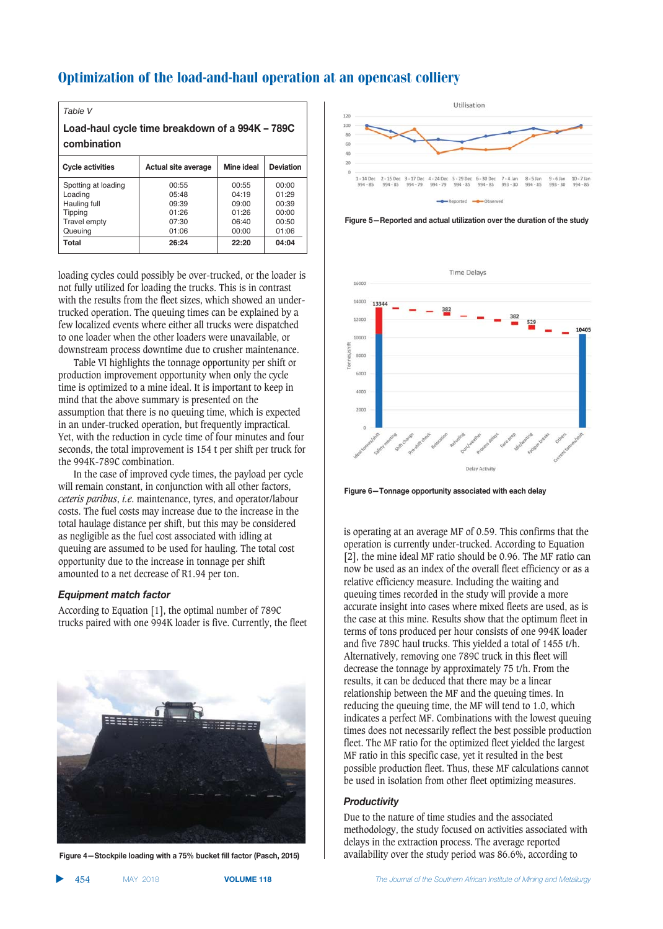| Table V                                                                                            |                                                    |                                                    |                                                    |  |  |
|----------------------------------------------------------------------------------------------------|----------------------------------------------------|----------------------------------------------------|----------------------------------------------------|--|--|
| Load-haul cycle time breakdown of a 994K – 789C<br>combination                                     |                                                    |                                                    |                                                    |  |  |
| Cycle activities                                                                                   | Actual site average                                | Mine ideal                                         | Deviation                                          |  |  |
| Spotting at loading<br>Loading<br>Hauling full<br><b>Tipping</b><br><b>Travel empty</b><br>Queuing | 00:55<br>05:48<br>09:39<br>01:26<br>07:30<br>01:06 | 00:55<br>04.19<br>09:00<br>01:26<br>06:40<br>00:00 | 00:00<br>01.29<br>00:39<br>00:00<br>00:50<br>01:06 |  |  |
| Total                                                                                              | 26:24                                              | 22:20                                              | 04:04                                              |  |  |

loading cycles could possibly be over-trucked, or the loader is not fully utilized for loading the trucks. This is in contrast with the results from the fleet sizes, which showed an undertrucked operation. The queuing times can be explained by a few localized events where either all trucks were dispatched to one loader when the other loaders were unavailable, or downstream process downtime due to crusher maintenance.

Table VI highlights the tonnage opportunity per shift or production improvement opportunity when only the cycle time is optimized to a mine ideal. It is important to keep in mind that the above summary is presented on the assumption that there is no queuing time, which is expected in an under-trucked operation, but frequently impractical. Yet, with the reduction in cycle time of four minutes and four seconds, the total improvement is 154 t per shift per truck for the 994K-789C combination.

In the case of improved cycle times, the payload per cycle will remain constant, in conjunction with all other factors, *ceteris paribus*, *i.e*. maintenance, tyres, and operator/labour costs. The fuel costs may increase due to the increase in the total haulage distance per shift, but this may be considered as negligible as the fuel cost associated with idling at queuing are assumed to be used for hauling. The total cost opportunity due to the increase in tonnage per shift amounted to a net decrease of R1.94 per ton.

## **Equipment match factor**

According to Equation [1], the optimal number of 789C trucks paired with one 994K loader is five. Currently, the fleet



**Figure 4-Stockpile loading with a 75% bucket fill factor (Pasch, 2015)** 



**Figure 5-Reported and actual utilization over the duration of the study** 



**Figure 6-Tonnage opportunity associated with each delay** 

is operating at an average MF of 0.59. This confirms that the operation is currently under-trucked. According to Equation [2], the mine ideal MF ratio should be 0.96. The MF ratio can now be used as an index of the overall fleet efficiency or as a relative efficiency measure. Including the waiting and queuing times recorded in the study will provide a more accurate insight into cases where mixed fleets are used, as is the case at this mine. Results show that the optimum fleet in terms of tons produced per hour consists of one 994K loader and five 789C haul trucks. This yielded a total of 1455 t/h. Alternatively, removing one 789C truck in this fleet will decrease the tonnage by approximately 75 t/h. From the results, it can be deduced that there may be a linear relationship between the MF and the queuing times. In reducing the queuing time, the MF will tend to 1.0, which indicates a perfect MF. Combinations with the lowest queuing times does not necessarily reflect the best possible production fleet. The MF ratio for the optimized fleet yielded the largest MF ratio in this specific case, yet it resulted in the best possible production fleet. Thus, these MF calculations cannot be used in isolation from other fleet optimizing measures.

#### **Productivity**

Due to the nature of time studies and the associated methodology, the study focused on activities associated with delays in the extraction process. The average reported availability over the study period was 86.6%, according to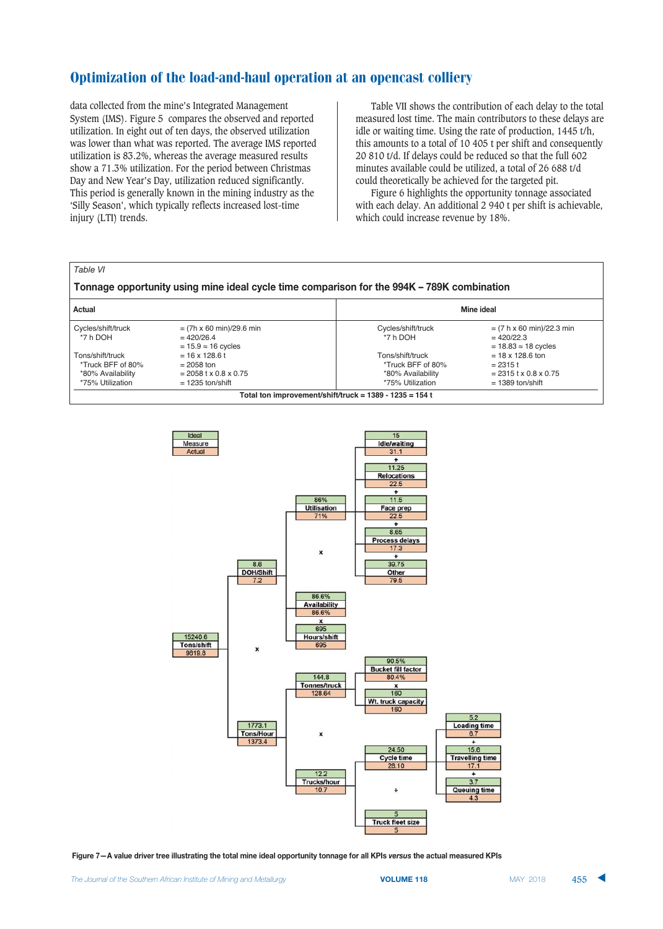data collected from the mine's Integrated Management System (IMS). Figure 5 compares the observed and reported utilization. In eight out of ten days, the observed utilization was lower than what was reported. The average IMS reported utilization is 83.2%, whereas the average measured results show a 71.3% utilization. For the period between Christmas Day and New Year's Day, utilization reduced significantly. This period is generally known in the mining industry as the 'Silly Season', which typically reflects increased lost-time injury (LTI) trends.

Table VII shows the contribution of each delay to the total measured lost time. The main contributors to these delays are idle or waiting time. Using the rate of production, 1445 t/h, this amounts to a total of 10 405 t per shift and consequently 20 810 t/d. If delays could be reduced so that the full 602 minutes available could be utilized, a total of 26 688 t/d could theoretically be achieved for the targeted pit.

Figure 6 highlights the opportunity tonnage associated with each delay. An additional 2 940 t per shift is achievable, which could increase revenue by 18%.

| Table VI                                                                                   |                                                                          |                                                         |                                                                                 |  |
|--------------------------------------------------------------------------------------------|--------------------------------------------------------------------------|---------------------------------------------------------|---------------------------------------------------------------------------------|--|
| Tonnage opportunity using mine ideal cycle time comparison for the 994K - 789K combination |                                                                          |                                                         |                                                                                 |  |
| Actual                                                                                     |                                                                          |                                                         | Mine ideal                                                                      |  |
| Cycles/shift/truck<br>*7 h DOH                                                             | $=$ (7h x 60 min)/29.6 min<br>$= 420/26.4$<br>$= 15.9 \approx 16$ cycles | Cycles/shift/truck<br>*7 h DOH                          | $= (7 h \times 60 min)/22.3 min$<br>$= 420/22.3$<br>$= 18.83 \approx 18$ cycles |  |
| Tons/shift/truck<br>*Truck BFF of 80%                                                      | $= 16 \times 128.6$ t<br>$= 2058$ ton                                    | Tons/shift/truck<br>*Truck BFF of 80%                   | $= 18 \times 128.6$ ton<br>$= 2315$ t                                           |  |
| *80% Availability<br>*75% Utilization                                                      | $= 2058$ t x 0.8 x 0.75<br>$= 1235$ ton/shift                            | *80% Availability<br>*75% Utilization                   | $= 2315$ t x 0.8 x 0.75<br>$= 1389$ ton/shift                                   |  |
|                                                                                            |                                                                          | Total ton improvement/shift/truck = 1389 - 1235 = 154 t |                                                                                 |  |



Figure 7-A value driver tree illustrating the total mine ideal opportunity tonnage for all KPIs versus the actual measured KPIs